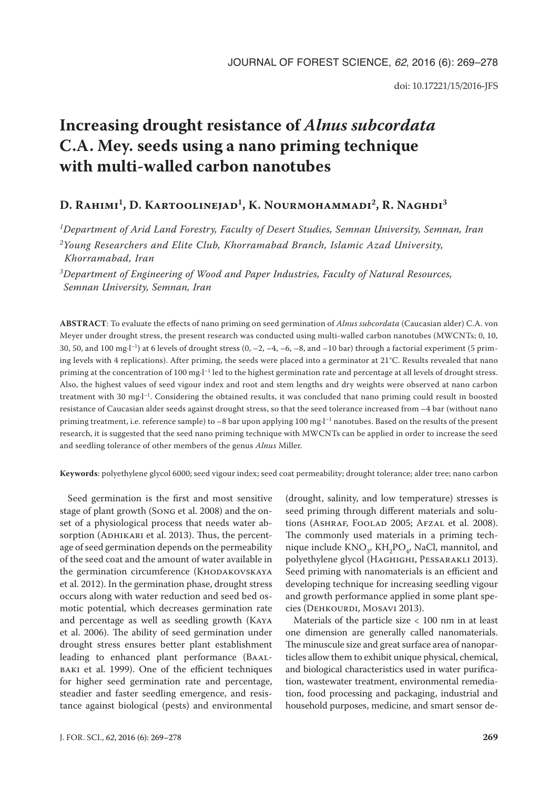# **Increasing drought resistance of** *Alnus subcordata* **C.A. Mey. seeds using a nano priming technique with multi-walled carbon nanotubes**

## D. Rahimi<sup>1</sup>, D. Kartoolinejad<sup>1</sup>, K. Nourmohammadi<sup>2</sup>, R. Naghdi<sup>3</sup>

*1Department of Arid Land Forestry, Faculty of Desert Studies, Semnan University, Semnan, Iran*

*2Young Researchers and Elite Club, Khorramabad Branch, Islamic Azad University, Khorramabad, Iran*

*3Department of Engineering of Wood and Paper Industries, Faculty of Natural Resources, Semnan University, Semnan, Iran*

**ABSTRACT**: To evaluate the effects of nano priming on seed germination of *Alnus subcordata* (Caucasian alder) C.A. von Meyer under drought stress, the present research was conducted using multi-walled carbon nanotubes (MWCNTs; 0, 10, 30, 50, and 100 mg·l<sup>-1</sup>) at 6 levels of drought stress  $(0, -2, -4, -6, -8,$  and  $-10$  bar) through a factorial experiment (5 priming levels with 4 replications). After priming, the seeds were placed into a germinator at 21°C. Results revealed that nano priming at the concentration of 100 mg·l<sup>-1</sup> led to the highest germination rate and percentage at all levels of drought stress. Also, the highest values of seed vigour index and root and stem lengths and dry weights were observed at nano carbon treatment with 30 mg·l–1. Considering the obtained results, it was concluded that nano priming could result in boosted resistance of Caucasian alder seeds against drought stress, so that the seed tolerance increased from –4 bar (without nano priming treatment, i.e. reference sample) to -8 bar upon applying 100 mg·l<sup>-1</sup> nanotubes. Based on the results of the present research, it is suggested that the seed nano priming technique with MWCNTs can be applied in order to increase the seed and seedling tolerance of other members of the genus *Alnus* Miller.

**Keywords**: polyethylene glycol 6000; seed vigour index; seed coat permeability; drought tolerance; alder tree; nano carbon

Seed germination is the first and most sensitive stage of plant growth (Song et al. 2008) and the onset of a physiological process that needs water absorption (ADHIKARI et al. 2013). Thus, the percentage of seed germination depends on the permeability of the seed coat and the amount of water available in the germination circumference (KHODAKOVSKAYA et al. 2012). In the germination phase, drought stress occurs along with water reduction and seed bed osmotic potential, which decreases germination rate and percentage as well as seedling growth (Kaya et al. 2006). The ability of seed germination under drought stress ensures better plant establishment leading to enhanced plant performance (Baalbaki et al. 1999). One of the efficient techniques for higher seed germination rate and percentage, steadier and faster seedling emergence, and resistance against biological (pests) and environmental

(drought, salinity, and low temperature) stresses is seed priming through different materials and solutions (ASHRAF, FOOLAD 2005; AFZAL et al. 2008). The commonly used materials in a priming technique include  $KNO_3$ ,  $KH_2PO_4$ , NaCl, mannitol, and polyethylene glycol (Haghighi, Pessarakli 2013). Seed priming with nanomaterials is an efficient and developing technique for increasing seedling vigour and growth performance applied in some plant species (DEHKOURDI, MOSAVI 2013).

Materials of the particle size  $< 100$  nm in at least one dimension are generally called nanomaterials. The minuscule size and great surface area of nanoparticles allow them to exhibit unique physical, chemical, and biological characteristics used in water purification, wastewater treatment, environmental remediation, food processing and packaging, industrial and household purposes, medicine, and smart sensor de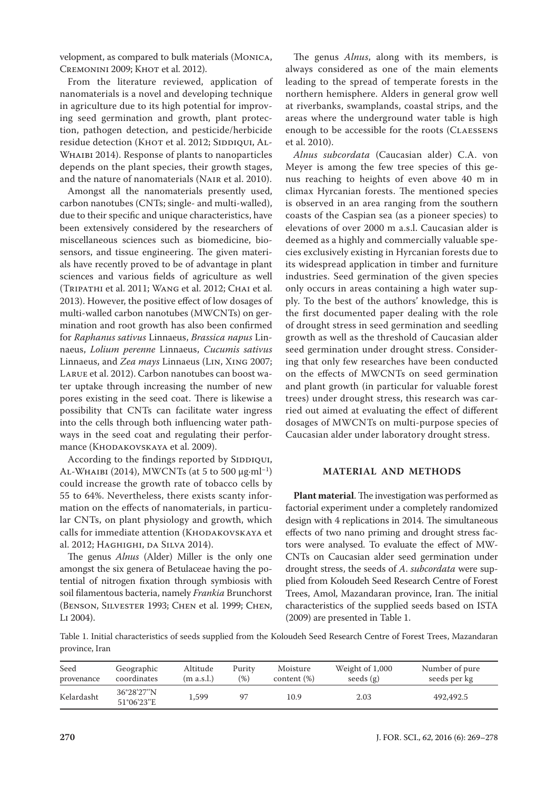velopment, as compared to bulk materials (Monica, CREMONINI 2009; KHOT et al. 2012).

From the literature reviewed, application of nanomaterials is a novel and developing technique in agriculture due to its high potential for improving seed germination and growth, plant protection, pathogen detection, and pesticide/herbicide residue detection (KHOT et al. 2012; SIDDIQUI, AL-WHAIBI 2014). Response of plants to nanoparticles depends on the plant species, their growth stages, and the nature of nanomaterials (Nair et al. 2010).

Amongst all the nanomaterials presently used, carbon nanotubes (CNTs; single- and multi-walled), due to their specific and unique characteristics, have been extensively considered by the researchers of miscellaneous sciences such as biomedicine, biosensors, and tissue engineering. The given materials have recently proved to be of advantage in plant sciences and various fields of agriculture as well (Tripathi et al. 2011; Wang et al. 2012; Chai et al. 2013). However, the positive effect of low dosages of multi-walled carbon nanotubes (MWCNTs) on germination and root growth has also been confirmed for *Raphanus sativus* Linnaeus, *Brassica napus* Linnaeus, *Lolium perenne* Linnaeus, *Cucumis sativus* Linnaeus, and *Zea mays* Linnaeus (Lin, Xing 2007; Larue et al. 2012). Carbon nanotubes can boost water uptake through increasing the number of new pores existing in the seed coat. There is likewise a possibility that CNTs can facilitate water ingress into the cells through both influencing water pathways in the seed coat and regulating their performance (Кноракоvsкауа et al. 2009).

According to the findings reported by SIDDIQUI, AL-WHAIBI (2014), MWCNTs (at 5 to 500  $\mu$ g·ml<sup>-1</sup>) could increase the growth rate of tobacco cells by 55 to 64%. Nevertheless, there exists scanty information on the effects of nanomaterials, in particular CNTs, on plant physiology and growth, which calls for immediate attention (KHODAKOVSKAYA et al. 2012; Haghighi, da Silva 2014).

The genus *Alnus* (Alder) Miller is the only one amongst the six genera of Betulaceae having the potential of nitrogen fixation through symbiosis with soil filamentous bacteria, namely *Frankia* Brunchorst (Benson, Silvester 1993; Chen et al. 1999; Chen, Li 2004).

The genus *Alnus*, along with its members, is always considered as one of the main elements leading to the spread of temperate forests in the northern hemisphere. Alders in general grow well at riverbanks, swamplands, coastal strips, and the areas where the underground water table is high enough to be accessible for the roots (Claessens et al. 2010).

*Alnus subcordata* (Caucasian alder) C.A. von Meyer is among the few tree species of this genus reaching to heights of even above 40 m in climax Hyrcanian forests. The mentioned species is observed in an area ranging from the southern coasts of the Caspian sea (as a pioneer species) to elevations of over 2000 m a.s.l. Caucasian alder is deemed as a highly and commercially valuable species exclusively existing in Hyrcanian forests due to its widespread application in timber and furniture industries. Seed germination of the given species only occurs in areas containing a high water supply. To the best of the authors' knowledge, this is the first documented paper dealing with the role of drought stress in seed germination and seedling growth as well as the threshold of Caucasian alder seed germination under drought stress. Considering that only few researches have been conducted on the effects of MWCNTs on seed germination and plant growth (in particular for valuable forest trees) under drought stress, this research was carried out aimed at evaluating the effect of different dosages of MWCNTs on multi-purpose species of Caucasian alder under laboratory drought stress.

## **MATERIAL AND METHODS**

**Plant material**. The investigation was performed as factorial experiment under a completely randomized design with 4 replications in 2014. The simultaneous effects of two nano priming and drought stress factors were analysed. To evaluate the effect of MW-CNTs on Caucasian alder seed germination under drought stress, the seeds of *A*. *subcordata* were supplied from Koloudeh Seed Research Centre of Forest Trees, Amol, Mazandaran province, Iran. The initial characteristics of the supplied seeds based on ISTA (2009) are presented in Table 1.

Table 1. Initial characteristics of seeds supplied from the Koloudeh Seed Research Centre of Forest Trees, Mazandaran province, Iran

| Seed       | Geographic               | Altitude   | Purity | Moisture       | Weight of 1,000 | Number of pure |
|------------|--------------------------|------------|--------|----------------|-----------------|----------------|
| provenance | coordinates              | (m a.s.l.) | (96)   | content $(\%)$ | seeds $(g)$     | seeds per kg   |
| Kelardasht | 36°28′27″N<br>51°06'23"E | 1.599      |        | 10.9           | 2.03            | 492,492.5      |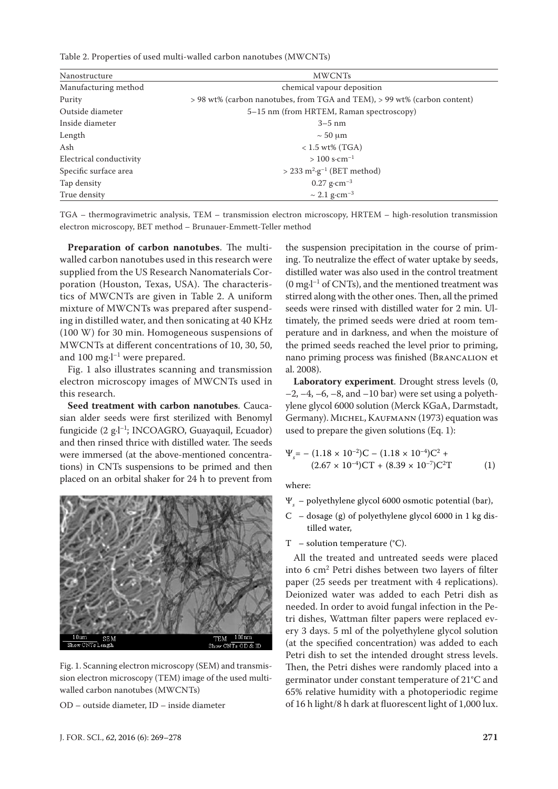Table 2. Properties of used multi-walled carbon nanotubes (MWCNTs)

| Nanostructure           | <b>MWCNTs</b>                                                            |  |  |  |  |  |
|-------------------------|--------------------------------------------------------------------------|--|--|--|--|--|
| Manufacturing method    | chemical vapour deposition                                               |  |  |  |  |  |
| Purity                  | > 98 wt% (carbon nanotubes, from TGA and TEM), > 99 wt% (carbon content) |  |  |  |  |  |
| Outside diameter        | 5–15 nm (from HRTEM, Raman spectroscopy)                                 |  |  |  |  |  |
| Inside diameter         | $3-5$ nm                                                                 |  |  |  |  |  |
| Length                  | $\sim$ 50 µm                                                             |  |  |  |  |  |
| Ash                     | $< 1.5$ wt% (TGA)                                                        |  |  |  |  |  |
| Electrical conductivity | $> 100$ s·cm <sup>-1</sup>                                               |  |  |  |  |  |
| Specific surface area   | $>$ 233 m <sup>2</sup> ·g <sup>-1</sup> (BET method)                     |  |  |  |  |  |
| Tap density             | $0.27$ g·cm <sup>-3</sup>                                                |  |  |  |  |  |
| True density            | $\sim 2.1$ g·cm <sup>-3</sup>                                            |  |  |  |  |  |

TGA – thermogravimetric analysis, TEM – transmission electron microscopy, HRTEM – high-resolution transmission electron microscopy, BET method – Brunauer-Emmett-Teller method

**Preparation of carbon nanotubes**. The multiwalled carbon nanotubes used in this research were supplied from the US Research Nanomaterials Corporation (Houston, Texas, USA). The characteristics of MWCNTs are given in Table 2. A uniform mixture of MWCNTs was prepared after suspending in distilled water, and then sonicating at 40 KHz (100 W) for 30 min. Homogeneous suspensions of MWCNTs at different concentrations of 10, 30, 50, and 100 mg $-l^{-1}$  were prepared.

Fig. 1 also illustrates scanning and transmission electron microscopy images of MWCNTs used in this research.

**Seed treatment with carbon nanotubes**. Caucasian alder seeds were first sterilized with Benomyl fungicide (2 g·l–1; INCOAGRO, Guayaquil, Ecuador) and then rinsed thrice with distilled water. The seeds were immersed (at the above-mentioned concentrations) in CNTs suspensions to be primed and then placed on an orbital shaker for 24 h to prevent from



Fig. 1. Scanning electron microscopy (SEM) and transmission electron microscopy (TEM) image of the used multiwalled carbon nanotubes (MWCNTs)

OD – outside diameter, ID – inside diameter

the suspension precipitation in the course of priming. To neutralize the effect of water uptake by seeds, distilled water was also used in the control treatment  $(0 \text{ mg-l}^{-1} \text{ of CNTs})$ , and the mentioned treatment was stirred along with the other ones. Then, all the primed seeds were rinsed with distilled water for 2 min. Ultimately, the primed seeds were dried at room temperature and in darkness, and when the moisture of the primed seeds reached the level prior to priming, nano priming process was finished (Brancalion et al. 2008).

**Laboratory experiment**. Drought stress levels (0,  $-2$ ,  $-4$ ,  $-6$ ,  $-8$ , and  $-10$  bar) were set using a polyethylene glycol 6000 solution (Merck KGaA, Darmstadt, Germany). MICHEL, KAUFMANN (1973) equation was used to prepare the given solutions (Eq. 1):

$$
\Psi_s = -(1.18 \times 10^{-2})C - (1.18 \times 10^{-4})C^2 + (2.67 \times 10^{-4})CT + (8.39 \times 10^{-7})C^2T
$$
 (1)

where:

- Ψ*<sup>s</sup>* polyethylene glycol 6000 osmotic potential (bar),
- C dosage (g) of polyethylene glycol 6000 in 1 kg distilled water,
- $T -$  solution temperature (°C).

All the treated and untreated seeds were placed into 6 cm2 Petri dishes between two layers of filter paper (25 seeds per treatment with 4 replications). Deionized water was added to each Petri dish as needed. In order to avoid fungal infection in the Petri dishes, Wattman filter papers were replaced every 3 days. 5 ml of the polyethylene glycol solution (at the specified concentration) was added to each Petri dish to set the intended drought stress levels. Then, the Petri dishes were randomly placed into a germinator under constant temperature of 21°C and 65% relative humidity with a photoperiodic regime of 16 h light/8 h dark at fluorescent light of 1,000 lux.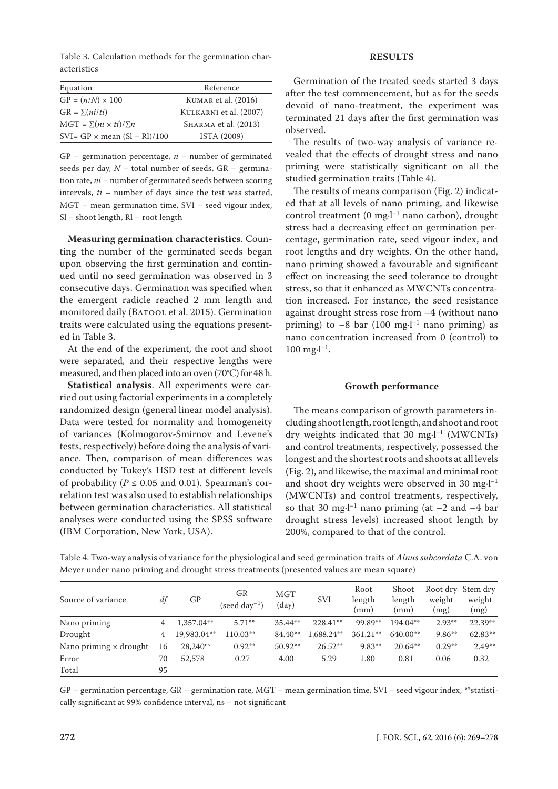Table 3. Calculation methods for the germination characteristics

| Equation                             | Reference              |
|--------------------------------------|------------------------|
| $GP = (n/N) \times 100$              | KUMAR et al. (2016)    |
| $GR = \sum (ni/ti)$                  | KULKARNI et al. (2007) |
| $MGT = \sum (ni \times ti)/\sum n$   | SHARMA et al. (2013)   |
| $SVI = GP \times mean (SI + RI)/100$ | ISTA (2009)            |

GP – germination percentage, *n* – number of germinated seeds per day, *N* – total number of seeds, GR – germination rate, *ni* – number of germinated seeds between scoring intervals, *ti* – number of days since the test was started, MGT – mean germination time, SVI – seed vigour index, Sl – shoot length, Rl – root length

**Measuring germination characteristics**. Counting the number of the germinated seeds began upon observing the first germination and continued until no seed germination was observed in 3 consecutive days. Germination was specified when the emergent radicle reached 2 mm length and monitored daily (BATOOL et al. 2015). Germination traits were calculated using the equations presented in Table 3.

At the end of the experiment, the root and shoot were separated, and their respective lengths were measured, and then placed into an oven (70°C) for 48 h.

**Statistical analysis**. All experiments were carried out using factorial experiments in a completely randomized design (general linear model analysis). Data were tested for normality and homogeneity of variances (Kolmogorov-Smirnov and Levene's tests, respectively) before doing the analysis of variance. Then, comparison of mean differences was conducted by Tukey's HSD test at different levels of probability ( $P \le 0.05$  and 0.01). Spearman's correlation test was also used to establish relationships between germination characteristics. All statistical analyses were conducted using the SPSS software (IBM Corporation, New York, USA).

## **RESULTS**

Germination of the treated seeds started 3 days after the test commencement, but as for the seeds devoid of nano-treatment, the experiment was terminated 21 days after the first germination was observed.

The results of two-way analysis of variance revealed that the effects of drought stress and nano priming were statistically significant on all the studied germination traits (Table 4).

The results of means comparison (Fig. 2) indicated that at all levels of nano priming, and likewise control treatment (0 mg·l<sup>-1</sup> nano carbon), drought stress had a decreasing effect on germination percentage, germination rate, seed vigour index, and root lengths and dry weights. On the other hand, nano priming showed a favourable and significant effect on increasing the seed tolerance to drought stress, so that it enhanced as MWCNTs concentration increased. For instance, the seed resistance against drought stress rose from –4 (without nano priming) to  $-8$  bar (100 mg $l^{-1}$  nano priming) as nano concentration increased from 0 (control) to  $100 \text{ mg-l}^{-1}$ .

#### **Growth performance**

The means comparison of growth parameters including shoot length, root length, and shoot and root dry weights indicated that 30 mg $\cdot$ l<sup>-1</sup> (MWCNTs) and control treatments, respectively, possessed the longest and the shortest roots and shoots at all levels (Fig. 2), and likewise, the maximal and minimal root and shoot dry weights were observed in 30 mg $\cdot$ l<sup>-1</sup> (MWCNTs) and control treatments, respectively, so that 30 mg $\cdot$ l<sup>-1</sup> nano priming (at  $-2$  and  $-4$  bar drought stress levels) increased shoot length by 200%, compared to that of the control.

Table 4. Two-way analysis of variance for the physiological and seed germination traits of *Alnus subcordata* C.A. von Meyer under nano priming and drought stress treatments (presented values are mean square)

| Source of variance            | df | GP            | GR<br>$(\text{seed-day}^{-1})$ | MGT<br>(day) | <b>SVI</b> | Root<br>length<br>(mm) | Shoot<br>length<br>(mm) | weight<br>(mg) | Root dry Stem dry<br>weight<br>(mg) |
|-------------------------------|----|---------------|--------------------------------|--------------|------------|------------------------|-------------------------|----------------|-------------------------------------|
| Nano priming                  | 4  | 1,357.04**    | $5.71**$                       | $35.44**$    | $228.41**$ | 99.89**                | 194.04**                | $2.93**$       | $22.39**$                           |
| Drought                       | 4  | 19,983.04**   | 110.03**                       | 84.40**      | 1,688.24** | 361.21**               | 640.00**                | $9.86**$       | $62.83**$                           |
| Nano priming $\times$ drought | 16 | $28.240^{ns}$ | $0.92**$                       | $50.92**$    | $26.52**$  | $9.83**$               | $20.64**$               | $0.29**$       | $2.49**$                            |
| Error                         | 70 | 52,578        | 0.27                           | 4.00         | 5.29       | 1.80                   | 0.81                    | 0.06           | 0.32                                |
| Total                         | 95 |               |                                |              |            |                        |                         |                |                                     |

GP – germination percentage, GR – germination rate, MGT – mean germination time, SVI – seed vigour index, \*\*statistically significant at 99% confidence interval, ns – not significant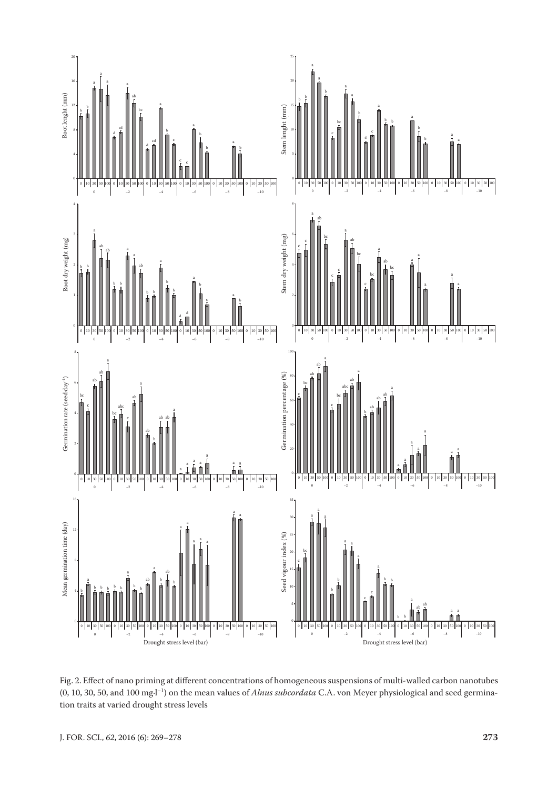

Fig. 2. Effect of nano priming at different concentrations of homogeneous suspensions of multi-walled carbon nanotubes (0, 10, 30, 50, and 100 mg·l–1) on the mean values of *Alnus subcordata* C.A. von Meyer physiological and seed germination traits at varied drought stress levels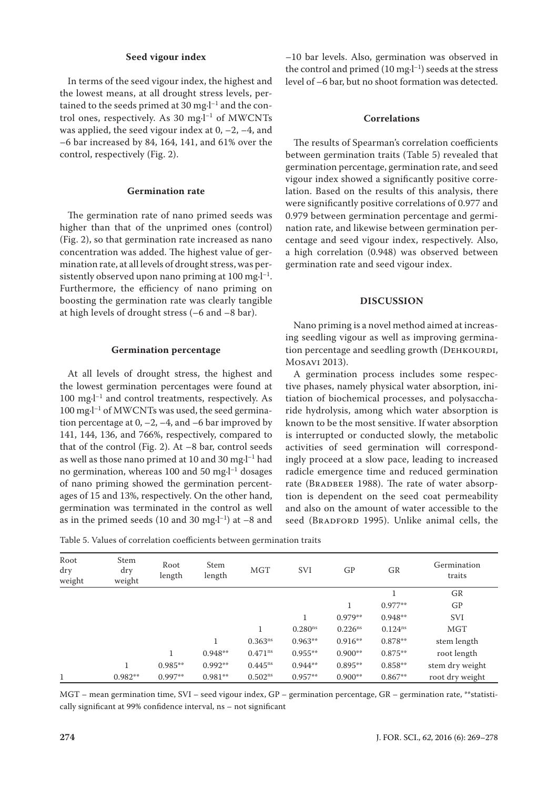## **Seed vigour index**

In terms of the seed vigour index, the highest and the lowest means, at all drought stress levels, pertained to the seeds primed at 30 mg $\cdot$ l<sup>-1</sup> and the control ones, respectively. As 30 mg $\cdot$ l<sup>-1</sup> of MWCNTs was applied, the seed vigour index at  $0, -2, -4$ , and –6 bar increased by 84, 164, 141, and 61% over the control, respectively (Fig. 2).

## **Germination rate**

The germination rate of nano primed seeds was higher than that of the unprimed ones (control) (Fig. 2), so that germination rate increased as nano concentration was added. The highest value of germination rate, at all levels of drought stress, was persistently observed upon nano priming at  $100 \text{ mg-l}^{-1}$ . Furthermore, the efficiency of nano priming on boosting the germination rate was clearly tangible at high levels of drought stress (–6 and –8 bar).

#### **Germination percentage**

At all levels of drought stress, the highest and the lowest germination percentages were found at  $100 \text{ mg-l}^{-1}$  and control treatments, respectively. As  $100 \text{ mg-l}^{-1}$  of MWCNTs was used, the seed germination percentage at  $0, -2, -4$ , and  $-6$  bar improved by 141, 144, 136, and 766%, respectively, compared to that of the control (Fig. 2). At –8 bar, control seeds as well as those nano primed at 10 and 30 mg $\cdot$ l<sup>-1</sup> had no germination, whereas 100 and 50 mg·l–1 dosages of nano priming showed the germination percentages of 15 and 13%, respectively. On the other hand, germination was terminated in the control as well as in the primed seeds (10 and 30 mg $\cdot$ l<sup>-1</sup>) at -8 and

Table 5. Values of correlation coefficients between germination traits

–10 bar levels. Also, germination was observed in the control and primed  $(10 \text{ mg-l}^{-1})$  seeds at the stress level of –6 bar, but no shoot formation was detected.

### **Correlations**

The results of Spearman's correlation coefficients between germination traits (Table 5) revealed that germination percentage, germination rate, and seed vigour index showed a significantly positive correlation. Based on the results of this analysis, there were significantly positive correlations of 0.977 and 0.979 between germination percentage and germination rate, and likewise between germination percentage and seed vigour index, respectively. Also, a high correlation (0.948) was observed between germination rate and seed vigour index.

#### **DISCUSSION**

Nano priming is a novel method aimed at increasing seedling vigour as well as improving germination percentage and seedling growth (DEHKOURDI, Mosavi 2013).

A germination process includes some respective phases, namely physical water absorption, initiation of biochemical processes, and polysaccharide hydrolysis, among which water absorption is known to be the most sensitive. If water absorption is interrupted or conducted slowly, the metabolic activities of seed germination will correspondingly proceed at a slow pace, leading to increased radicle emergence time and reduced germination rate (BRADBEER 1988). The rate of water absorption is dependent on the seed coat permeability and also on the amount of water accessible to the seed (BRADFORD 1995). Unlike animal cells, the

| Root<br>dry<br>weight | Stem<br>dry<br>weight | Root<br>length | Stem<br>length | MGT          | <b>SVI</b>          | GP                  | GR                  | Germination<br>traits |
|-----------------------|-----------------------|----------------|----------------|--------------|---------------------|---------------------|---------------------|-----------------------|
|                       |                       |                |                |              |                     |                     |                     | GR                    |
|                       |                       |                |                |              |                     |                     | $0.977**$           | GP                    |
|                       |                       |                |                |              |                     | $0.979**$           | $0.948**$           | <b>SVI</b>            |
|                       |                       |                |                |              | 0.280 <sup>ns</sup> | 0.226 <sup>ns</sup> | 0.124 <sup>ns</sup> | MGT                   |
|                       |                       |                |                | $0.363^{ns}$ | $0.963**$           | $0.916**$           | $0.878**$           | stem length           |
|                       |                       |                | $0.948**$      | $0.471^{ns}$ | $0.955**$           | $0.900**$           | $0.875**$           | root length           |
|                       | 1                     | $0.985**$      | $0.992**$      | $0.445^{ns}$ | $0.944**$           | $0.895**$           | $0.858**$           | stem dry weight       |
|                       | $0.982**$             | $0.997**$      | $0.981**$      | $0.502^{ns}$ | $0.957**$           | $0.900**$           | $0.867**$           | root dry weight       |

MGT – mean germination time, SVI – seed vigour index, GP – germination percentage, GR – germination rate, \*\*statistically significant at 99% confidence interval, ns – not significant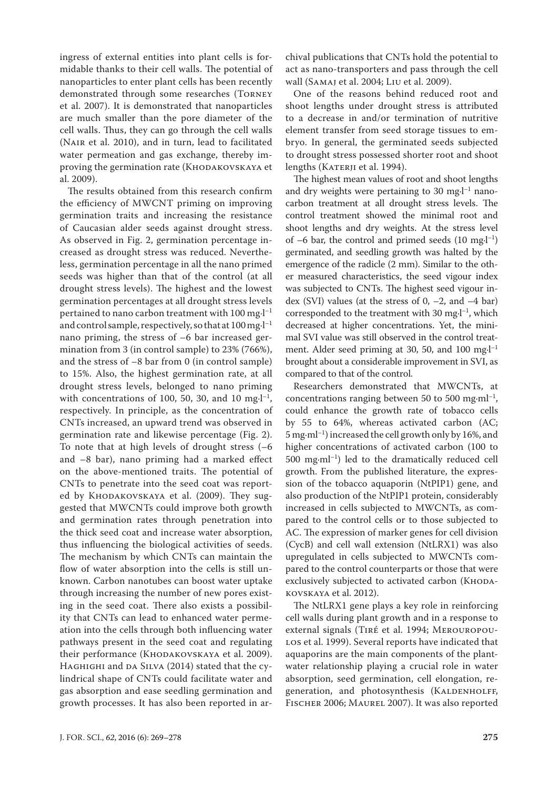ingress of external entities into plant cells is formidable thanks to their cell walls. The potential of nanoparticles to enter plant cells has been recently demonstrated through some researches (Torney et al. 2007). It is demonstrated that nanoparticles are much smaller than the pore diameter of the cell walls. Thus, they can go through the cell walls (Nair et al. 2010), and in turn, lead to facilitated water permeation and gas exchange, thereby improving the germination rate (KHODAKOVSKAYA et al. 2009).

The results obtained from this research confirm the efficiency of MWCNT priming on improving germination traits and increasing the resistance of Caucasian alder seeds against drought stress. As observed in Fig. 2, germination percentage increased as drought stress was reduced. Nevertheless, germination percentage in all the nano primed seeds was higher than that of the control (at all drought stress levels). The highest and the lowest germination percentages at all drought stress levels pertained to nano carbon treatment with 100 mg·l–1 and control sample, respectively, so that at  $100$  mg $\cdot$ l<sup>-1</sup> nano priming, the stress of –6 bar increased germination from 3 (in control sample) to 23% (766%), and the stress of –8 bar from 0 (in control sample) to 15%. Also, the highest germination rate, at all drought stress levels, belonged to nano priming with concentrations of 100, 50, 30, and 10 mg $\cdot$ l<sup>-1</sup>, respectively. In principle, as the concentration of CNTs increased, an upward trend was observed in germination rate and likewise percentage (Fig. 2). To note that at high levels of drought stress (–6 and –8 bar), nano priming had a marked effect on the above-mentioned traits. The potential of CNTs to penetrate into the seed coat was reported by Кноракоvsкауа et al. (2009). They suggested that MWCNTs could improve both growth and germination rates through penetration into the thick seed coat and increase water absorption, thus influencing the biological activities of seeds. The mechanism by which CNTs can maintain the flow of water absorption into the cells is still unknown. Carbon nanotubes can boost water uptake through increasing the number of new pores existing in the seed coat. There also exists a possibility that CNTs can lead to enhanced water permeation into the cells through both influencing water pathways present in the seed coat and regulating their performance (Кноракоvsкауа et al. 2009). HAGHIGHI and DA SILVA (2014) stated that the cylindrical shape of CNTs could facilitate water and gas absorption and ease seedling germination and growth processes. It has also been reported in archival publications that CNTs hold the potential to act as nano-transporters and pass through the cell wall (Samaj et al. 2004; Liu et al. 2009).

One of the reasons behind reduced root and shoot lengths under drought stress is attributed to a decrease in and/or termination of nutritive element transfer from seed storage tissues to embryo. In general, the germinated seeds subjected to drought stress possessed shorter root and shoot lengths (KATERJI et al. 1994).

The highest mean values of root and shoot lengths and dry weights were pertaining to 30 mg $l^{-1}$  nanocarbon treatment at all drought stress levels. The control treatment showed the minimal root and shoot lengths and dry weights. At the stress level of  $-6$  bar, the control and primed seeds (10 mg $\cdot$ l<sup>-1</sup>) germinated, and seedling growth was halted by the emergence of the radicle (2 mm). Similar to the other measured characteristics, the seed vigour index was subjected to CNTs. The highest seed vigour index (SVI) values (at the stress of  $0, -2$ , and  $-4$  bar) corresponded to the treatment with 30 mg·l–1, which decreased at higher concentrations. Yet, the minimal SVI value was still observed in the control treatment. Alder seed priming at 30, 50, and 100 mg·l<sup>-1</sup> brought about a considerable improvement in SVI, as compared to that of the control.

Researchers demonstrated that MWCNTs, at concentrations ranging between 50 to 500 mg·m $]$ <sup>-1</sup>, could enhance the growth rate of tobacco cells by 55 to 64%, whereas activated carbon (AC; 5 mg·ml–1) increased the cell growth only by 16%, and higher concentrations of activated carbon (100 to 500 mg·ml–1) led to the dramatically reduced cell growth. From the published literature, the expression of the tobacco aquaporin (NtPIP1) gene, and also production of the NtPIP1 protein, considerably increased in cells subjected to MWCNTs, as compared to the control cells or to those subjected to AC. The expression of marker genes for cell division (CycB) and cell wall extension (NtLRX1) was also upregulated in cells subjected to MWCNTs compared to the control counterparts or those that were exclusively subjected to activated carbon (KHODAkovskaya et al. 2012).

The NtLRX1 gene plays a key role in reinforcing cell walls during plant growth and in a response to external signals (Tiré et al. 1994; Merouropou-LOS et al. 1999). Several reports have indicated that aquaporins are the main components of the plantwater relationship playing a crucial role in water absorption, seed germination, cell elongation, regeneration, and photosynthesis (KALDENHOLFF, Fischer 2006; Maurel 2007). It was also reported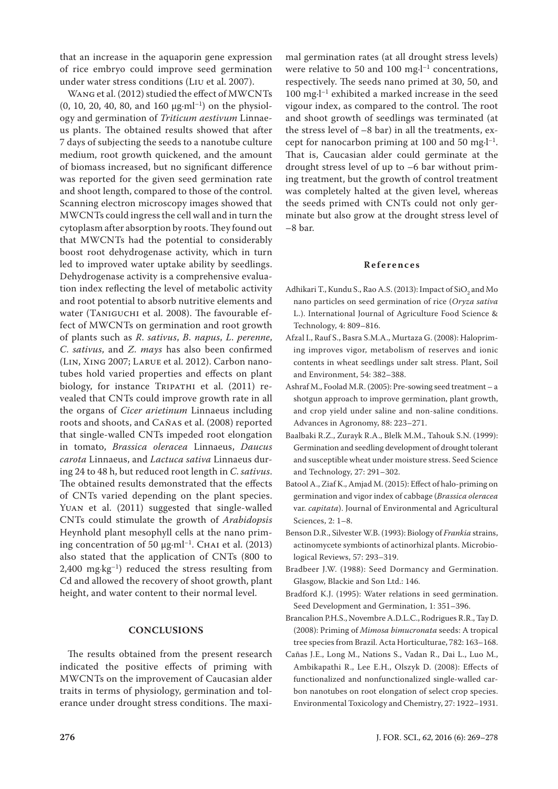that an increase in the aquaporin gene expression of rice embryo could improve seed germination under water stress conditions (Liu et al. 2007).

Wang et al. (2012) studied the effect of MWCNTs (0, 10, 20, 40, 80, and 160  $\mu$ g·ml<sup>-1</sup>) on the physiology and germination of *Triticum aestivum* Linnaeus plants. The obtained results showed that after 7 days of subjecting the seeds to a nanotube culture medium, root growth quickened, and the amount of biomass increased, but no significant difference was reported for the given seed germination rate and shoot length, compared to those of the control. Scanning electron microscopy images showed that MWCNTs could ingress the cell wall and in turn the cytoplasm after absorption by roots. They found out that MWCNTs had the potential to considerably boost root dehydrogenase activity, which in turn led to improved water uptake ability by seedlings. Dehydrogenase activity is a comprehensive evaluation index reflecting the level of metabolic activity and root potential to absorb nutritive elements and water (Taniguchi et al. 2008). The favourable effect of MWCNTs on germination and root growth of plants such as *R*. *sativus*, *B*. *napus*, *L*. *perenne*, *C*. *sativus*, and *Z*. *mays* has also been confirmed (Lin, Xing 2007; Larue et al. 2012). Carbon nanotubes hold varied properties and effects on plant biology, for instance TRIPATHI et al. (2011) revealed that CNTs could improve growth rate in all the organs of *Cicer arietinum* Linnaeus including roots and shoots, and Cañas et al. (2008) reported that single-walled CNTs impeded root elongation in tomato, *Brassica oleracea* Linnaeus, *Daucus carota* Linnaeus, and *Lactuca sativa* Linnaeus during 24 to 48 h, but reduced root length in *C*. *sativus*. The obtained results demonstrated that the effects of CNTs varied depending on the plant species. Yuan et al. (2011) suggested that single-walled CNTs could stimulate the growth of *Arabidopsis* Heynhold plant mesophyll cells at the nano priming concentration of 50  $\mu$ g·ml<sup>-1</sup>. Chai et al. (2013) also stated that the application of CNTs (800 to 2,400 mg·kg–1) reduced the stress resulting from Cd and allowed the recovery of shoot growth, plant height, and water content to their normal level.

## **CONCLUSIONS**

The results obtained from the present research indicated the positive effects of priming with MWCNTs on the improvement of Caucasian alder traits in terms of physiology, germination and tolerance under drought stress conditions. The maximal germination rates (at all drought stress levels) were relative to 50 and 100 mg $\cdot$ l<sup>-1</sup> concentrations, respectively. The seeds nano primed at 30, 50, and 100 mg·l–1 exhibited a marked increase in the seed vigour index, as compared to the control. The root and shoot growth of seedlings was terminated (at the stress level of –8 bar) in all the treatments, except for nanocarbon priming at 100 and 50 mg $-l^{-1}$ . That is, Caucasian alder could germinate at the drought stress level of up to –6 bar without priming treatment, but the growth of control treatment was completely halted at the given level, whereas the seeds primed with CNTs could not only germinate but also grow at the drought stress level of –8 bar.

#### **References**

- Adhikari T., Kundu S., Rao A.S. (2013): Impact of  $\mathrm{SiO}_2$  and Mo nano particles on seed germination of rice (*Oryza sativa* L.). International Journal of Agriculture Food Science & Technology, 4: 809–816.
- Afzal I., Rauf S., Basra S.M.A., Murtaza G. (2008): Halopriming improves vigor, metabolism of reserves and ionic contents in wheat seedlings under salt stress. Plant, Soil and Environment, 54: 382–388.
- Ashraf M., Foolad M.R. (2005): Pre-sowing seed treatment a shotgun approach to improve germination, plant growth, and crop yield under saline and non-saline conditions. Advances in Agronomy, 88: 223–271.
- Baalbaki R.Z., Zurayk R.A., Blelk M.M., Tahouk S.N. (1999): Germination and seedling development of drought tolerant and susceptible wheat under moisture stress. Seed Science and Technology, 27: 291–302.
- Batool A., Ziaf K., Amjad M. (2015): Effect of halo-priming on germination and vigor index of cabbage (*Brassica oleracea* var. *capitata*). Journal of Environmental and Agricultural Sciences, 2: 1–8.
- Benson D.R., Silvester W.B. (1993): Biology of *Frankia* strains, actinomycete symbionts of actinorhizal plants. Microbiological Reviews, 57: 293–319.
- Bradbeer J.W. (1988): Seed Dormancy and Germination. Glasgow, Blackie and Son Ltd.: 146.
- Bradford K.J. (1995): Water relations in seed germination. Seed Development and Germination, 1: 351–396.
- Brancalion P.H.S., Novembre A.D.L.C., Rodrigues R.R., Tay D. (2008): Priming of *Mimosa bimucronata* seeds: A tropical tree species from Brazil. Acta Horticulturae, 782: 163–168.
- Cañas J.E., Long M., Nations S., Vadan R., Dai L., Luo M., Ambikapathi R., Lee E.H., Olszyk D. (2008): Effects of functionalized and nonfunctionalized single-walled carbon nanotubes on root elongation of select crop species. Environmental Toxicology and Chemistry, 27: 1922–1931.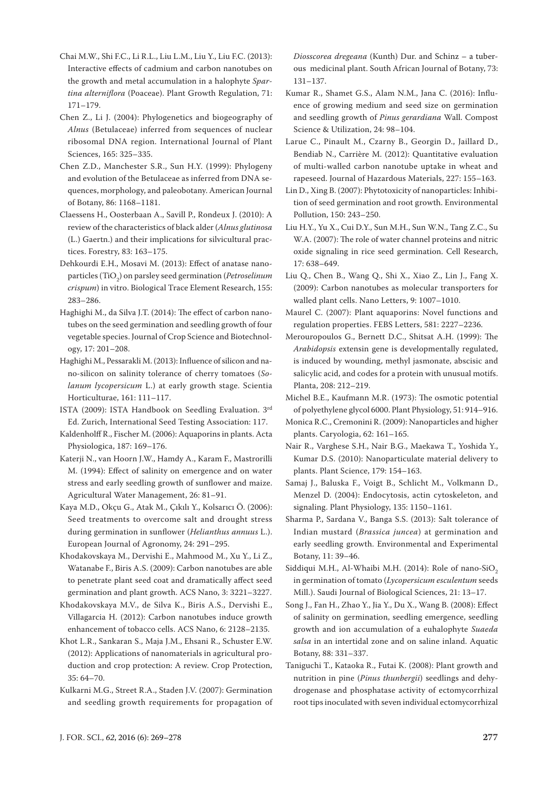- Chai M.W., Shi F.C., Li R.L., Liu L.M., Liu Y., Liu F.C. (2013): Interactive effects of cadmium and carbon nanotubes on the growth and metal accumulation in a halophyte *Spartina alterniflora* (Poaceae). Plant Growth Regulation, 71: 171–179.
- Chen Z., Li J. (2004): Phylogenetics and biogeography of *Alnus* (Betulaceae) inferred from sequences of nuclear ribosomal DNA region. International Journal of Plant Sciences, 165: 325–335.
- Chen Z.D., Manchester S.R., Sun H.Y. (1999): Phylogeny and evolution of the Betulaceae as inferred from DNA sequences, morphology, and paleobotany. American Journal of Botany, 86: 1168–1181.
- Claessens H., Oosterbaan A., Savill P., Rondeux J. (2010): A review of the characteristics of black alder (*Alnus glutinosa* (L.) Gaertn.) and their implications for silvicultural practices. Forestry, 83: 163–175.
- Dehkourdi E.H., Mosavi M. (2013): Effect of anatase nanoparticles (TiO<sub>2</sub>) on parsley seed germination (*Petroselinum crispum*) in vitro. Biological Trace Element Research, 155: 283–286.
- Haghighi M., da Silva J.T. (2014): The effect of carbon nanotubes on the seed germination and seedling growth of four vegetable species. Journal of Crop Science and Biotechnology, 17: 201–208.
- Haghighi M., Pessarakli M. (2013): Influence of silicon and nano-silicon on salinity tolerance of cherry tomatoes (*Solanum lycopersicum* L.) at early growth stage. Scientia Horticulturae, 161: 111–117.
- ISTA (2009): ISTA Handbook on Seedling Evaluation. 3rd Ed. Zurich, International Seed Testing Association: 117.
- Kaldenholff R., Fischer M. (2006): Aquaporins in plants. Acta Physiologica, 187: 169–176.
- Katerji N., van Hoorn J.W., Hamdy A., Karam F., Mastrorilli M. (1994): Effect of salinity on emergence and on water stress and early seedling growth of sunflower and maize. Agricultural Water Management, 26: 81–91.
- Kaya M.D., Okçu G., Atak M., Çıkılı Y., Kolsarıcı Ö. (2006): Seed treatments to overcome salt and drought stress during germination in sunflower (*Helianthus annuus* L.). European Journal of Agronomy, 24: 291–295.
- Khodakovskaya M., Dervishi E., Mahmood M., Xu Y., Li Z., Watanabe F., Biris A.S. (2009): Carbon nanotubes are able to penetrate plant seed coat and dramatically affect seed germination and plant growth. ACS Nano, 3: 3221–3227.
- Khodakovskaya M.V., de Silva K., Biris A.S., Dervishi E., Villagarcia H. (2012): Carbon nanotubes induce growth enhancement of tobacco cells. ACS Nano, 6: 2128–2135.
- Khot L.R., Sankaran S., Maja J.M., Ehsani R., Schuster E.W. (2012): Applications of nanomaterials in agricultural production and crop protection: A review. Crop Protection, 35: 64–70.
- Kulkarni M.G., Street R.A., Staden J.V. (2007): Germination and seedling growth requirements for propagation of

*Diosscorea dregeana* (Kunth) Dur. and Schinz – a tuberous medicinal plant. South African Journal of Botany, 73: 131–137.

- Kumar R., Shamet G.S., Alam N.M., Jana C. (2016): Influence of growing medium and seed size on germination and seedling growth of *Pinus gerardiana* Wall. Compost Science & Utilization, 24: 98–104.
- Larue C., Pinault M., Czarny B., Georgin D., Jaillard D., Bendiab N., Carrière M. (2012): Quantitative evaluation of multi-walled carbon nanotube uptake in wheat and rapeseed. Journal of Hazardous Materials, 227: 155–163.
- Lin D., Xing B. (2007): Phytotoxicity of nanoparticles: Inhibition of seed germination and root growth. Environmental Pollution, 150: 243–250.
- Liu H.Y., Yu X., Cui D.Y., Sun M.H., Sun W.N., Tang Z.C., Su W.A. (2007): The role of water channel proteins and nitric oxide signaling in rice seed germination. Cell Research, 17: 638–649.
- Liu Q., Chen B., Wang Q., Shi X., Xiao Z., Lin J., Fang X. (2009): Carbon nanotubes as molecular transporters for walled plant cells. Nano Letters, 9: 1007–1010.
- Maurel C. (2007): Plant aquaporins: Novel functions and regulation properties. FEBS Letters, 581: 2227–2236.
- Merouropoulos G., Bernett D.C., Shitsat A.H. (1999): The *Arabidopsis* extensin gene is developmentally regulated, is induced by wounding, methyl jasmonate, abscisic and salicylic acid, and codes for a protein with unusual motifs. Planta, 208: 212–219.
- Michel B.E., Kaufmann M.R. (1973): The osmotic potential of polyethylene glycol 6000. Plant Physiology, 51: 914–916.
- Monica R.C., Cremonini R. (2009): Nanoparticles and higher plants. Caryologia, 62: 161–165.
- Nair R., Varghese S.H., Nair B.G., Maekawa T., Yoshida Y., Kumar D.S. (2010): Nanoparticulate material delivery to plants. Plant Science, 179: 154–163.
- Samaj J., Baluska F., Voigt B., Schlicht M., Volkmann D., Menzel D. (2004): Endocytosis, actin cytoskeleton, and signaling. Plant Physiology, 135: 1150–1161.
- Sharma P., Sardana V., Banga S.S. (2013): Salt tolerance of Indian mustard (*Brassica juncea*) at germination and early seedling growth. Environmental and Experimental Botany, 11: 39–46.
- Siddiqui M.H., Al-Whaibi M.H. (2014): Role of nano-SiO<sub>2</sub> in germination of tomato (*Lycopersicum esculentum* seeds Mill.). Saudi Journal of Biological Sciences, 21: 13–17.
- Song J., Fan H., Zhao Y., Jia Y., Du X., Wang B. (2008): Effect of salinity on germination, seedling emergence, seedling growth and ion accumulation of a euhalophyte *Suaeda salsa* in an intertidal zone and on saline inland. Aquatic Botany, 88: 331–337.
- Taniguchi T., Kataoka R., Futai K. (2008): Plant growth and nutrition in pine (*Pinus thunbergii*) seedlings and dehydrogenase and phosphatase activity of ectomycorrhizal root tips inoculated with seven individual ectomycorrhizal